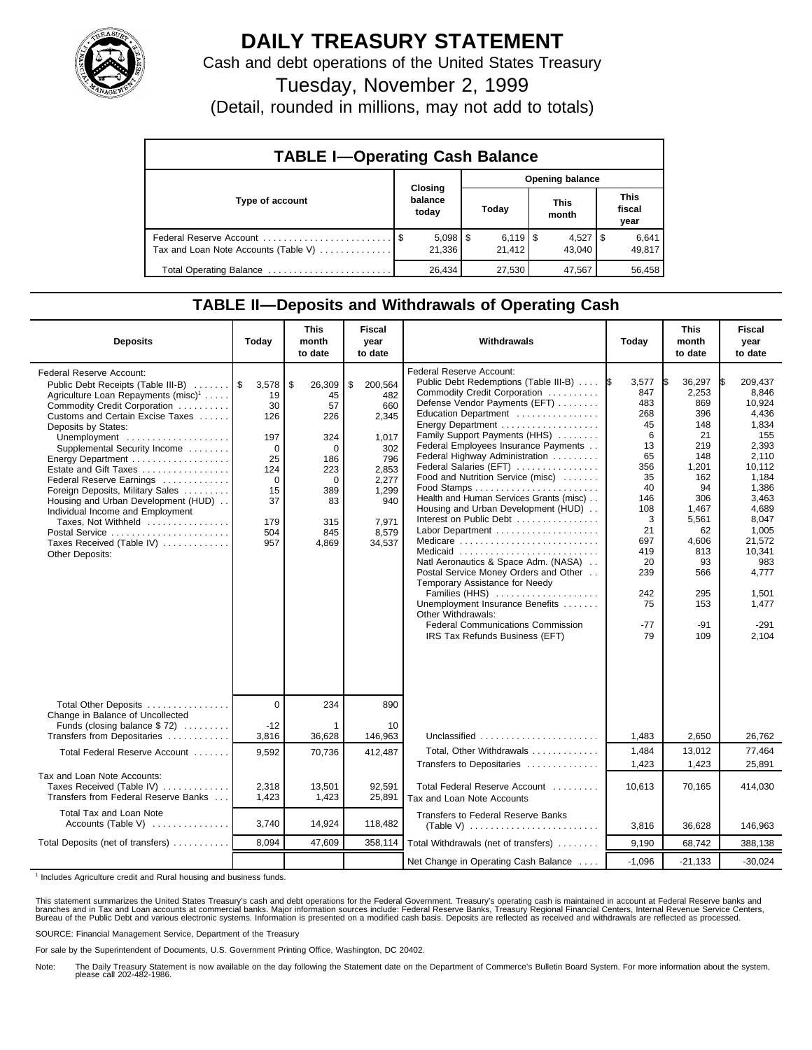

## **DAILY TREASURY STATEMENT**

Cash and debt operations of the United States Treasury

Tuesday, November 2, 1999

(Detail, rounded in millions, may not add to totals)

| <b>TABLE I-Operating Cash Balance</b> |  |                             |  |                                  |  |                      |  |                               |  |
|---------------------------------------|--|-----------------------------|--|----------------------------------|--|----------------------|--|-------------------------------|--|
| Type of account                       |  | Closing<br>balance<br>today |  | <b>Opening balance</b>           |  |                      |  |                               |  |
|                                       |  |                             |  | Today                            |  | <b>This</b><br>month |  | <b>This</b><br>fiscal<br>year |  |
| Tax and Loan Note Accounts (Table V)  |  | $5,098$   \$<br>21.336      |  | $6,119$ $\frac{15}{2}$<br>21.412 |  | $4,527$ S<br>43.040  |  | 6,641<br>49,817               |  |
| Total Operating Balance               |  | 26.434                      |  | 27,530                           |  | 47,567               |  | 56.458                        |  |

## **TABLE II—Deposits and Withdrawals of Operating Cash**

| <b>Deposits</b>                                                                                                                                                                                                                                                                                                                                                                                                                                                                                                                                | Today                                                                                                 | <b>This</b><br>month<br>to date                                                                                  | <b>Fiscal</b><br>year<br>to date                                                                                          | Withdrawals                                                                                                                                                                                                                                                                                                                                                                                                                                                                                                                                                                                                                                                                                                                                                                      | Today                                                                                                                                                     | <b>This</b><br>month<br>to date                                                                                                                                               | <b>Fiscal</b><br>year<br>to date                                                                                                                                                                                      |
|------------------------------------------------------------------------------------------------------------------------------------------------------------------------------------------------------------------------------------------------------------------------------------------------------------------------------------------------------------------------------------------------------------------------------------------------------------------------------------------------------------------------------------------------|-------------------------------------------------------------------------------------------------------|------------------------------------------------------------------------------------------------------------------|---------------------------------------------------------------------------------------------------------------------------|----------------------------------------------------------------------------------------------------------------------------------------------------------------------------------------------------------------------------------------------------------------------------------------------------------------------------------------------------------------------------------------------------------------------------------------------------------------------------------------------------------------------------------------------------------------------------------------------------------------------------------------------------------------------------------------------------------------------------------------------------------------------------------|-----------------------------------------------------------------------------------------------------------------------------------------------------------|-------------------------------------------------------------------------------------------------------------------------------------------------------------------------------|-----------------------------------------------------------------------------------------------------------------------------------------------------------------------------------------------------------------------|
| Federal Reserve Account:<br>Public Debt Receipts (Table III-B)<br>Agriculture Loan Repayments (misc) <sup>1</sup><br>Commodity Credit Corporation<br>Customs and Certain Excise Taxes<br>Deposits by States:<br>Unemployment<br>Supplemental Security Income<br>Energy Department<br>Estate and Gift Taxes<br>Federal Reserve Earnings<br>Foreign Deposits, Military Sales<br>Housing and Urban Development (HUD)<br>Individual Income and Employment<br>Taxes, Not Withheld<br>Postal Service<br>Taxes Received (Table IV)<br>Other Deposits: | 3,578<br>19<br>30<br>126<br>197<br>$\Omega$<br>25<br>124<br>$\Omega$<br>15<br>37<br>179<br>504<br>957 | \$<br>26,309<br>45<br>57<br>226<br>324<br>$\Omega$<br>186<br>223<br>$\Omega$<br>389<br>83<br>315<br>845<br>4,869 | \$<br>200,564<br>482<br>660<br>2,345<br>1,017<br>302<br>796<br>2,853<br>2,277<br>1,299<br>940<br>7,971<br>8,579<br>34,537 | <b>Federal Reserve Account:</b><br>Public Debt Redemptions (Table III-B)<br>Commodity Credit Corporation<br>Defense Vendor Payments (EFT)<br>Education Department<br>Family Support Payments (HHS)<br>Federal Employees Insurance Payments<br>Federal Highway Administration<br>Federal Salaries (EFT)<br>Food and Nutrition Service (misc)<br>Health and Human Services Grants (misc)<br>Housing and Urban Development (HUD)<br>Interest on Public Debt<br>Labor Department<br>Medicare<br>Medicaid<br>Natl Aeronautics & Space Adm. (NASA)<br>Postal Service Money Orders and Other<br>Temporary Assistance for Needy<br>Families (HHS)<br>Unemployment Insurance Benefits<br>Other Withdrawals:<br><b>Federal Communications Commission</b><br>IRS Tax Refunds Business (EFT) | 3,577<br>1\$<br>847<br>483<br>268<br>45<br>6<br>13<br>65<br>356<br>35<br>40<br>146<br>108<br>3<br>21<br>697<br>419<br>20<br>239<br>242<br>75<br>-77<br>79 | 36,297<br>I\$<br>2,253<br>869<br>396<br>148<br>21<br>219<br>148<br>1,201<br>162<br>94<br>306<br>1,467<br>5,561<br>62<br>4,606<br>813<br>93<br>566<br>295<br>153<br>-91<br>109 | 209,437<br>I\$<br>8.846<br>10,924<br>4,436<br>1,834<br>155<br>2,393<br>2,110<br>10.112<br>1.184<br>1,386<br>3,463<br>4,689<br>8.047<br>1.005<br>21,572<br>10,341<br>983<br>4.777<br>1,501<br>1,477<br>$-291$<br>2,104 |
| Total Other Deposits<br>Change in Balance of Uncollected                                                                                                                                                                                                                                                                                                                                                                                                                                                                                       | $\Omega$                                                                                              | 234                                                                                                              | 890                                                                                                                       |                                                                                                                                                                                                                                                                                                                                                                                                                                                                                                                                                                                                                                                                                                                                                                                  |                                                                                                                                                           |                                                                                                                                                                               |                                                                                                                                                                                                                       |
| Funds (closing balance \$72)<br>Transfers from Depositaries                                                                                                                                                                                                                                                                                                                                                                                                                                                                                    | $-12$<br>3,816                                                                                        | 36,628                                                                                                           | 10<br>146,963                                                                                                             | Unclassified                                                                                                                                                                                                                                                                                                                                                                                                                                                                                                                                                                                                                                                                                                                                                                     | 1,483                                                                                                                                                     | 2,650                                                                                                                                                                         | 26,762                                                                                                                                                                                                                |
| Total Federal Reserve Account                                                                                                                                                                                                                                                                                                                                                                                                                                                                                                                  | 9,592                                                                                                 | 70,736                                                                                                           | 412,487                                                                                                                   | Total, Other Withdrawals                                                                                                                                                                                                                                                                                                                                                                                                                                                                                                                                                                                                                                                                                                                                                         | 1,484                                                                                                                                                     | 13,012                                                                                                                                                                        | 77,464                                                                                                                                                                                                                |
| Tax and Loan Note Accounts:<br>Taxes Received (Table IV)<br>Transfers from Federal Reserve Banks                                                                                                                                                                                                                                                                                                                                                                                                                                               | 2,318<br>1,423                                                                                        | 13,501<br>1,423                                                                                                  | 92,591<br>25,891                                                                                                          | Transfers to Depositaries<br>Total Federal Reserve Account<br>Tax and Loan Note Accounts                                                                                                                                                                                                                                                                                                                                                                                                                                                                                                                                                                                                                                                                                         | 1,423<br>10,613                                                                                                                                           | 1,423<br>70,165                                                                                                                                                               | 25,891<br>414,030                                                                                                                                                                                                     |
| Total Tax and Loan Note<br>Accounts (Table V)                                                                                                                                                                                                                                                                                                                                                                                                                                                                                                  | 3,740                                                                                                 | 14,924                                                                                                           | 118,482                                                                                                                   | <b>Transfers to Federal Reserve Banks</b>                                                                                                                                                                                                                                                                                                                                                                                                                                                                                                                                                                                                                                                                                                                                        | 3,816                                                                                                                                                     | 36.628                                                                                                                                                                        | 146.963                                                                                                                                                                                                               |
| Total Deposits (net of transfers)                                                                                                                                                                                                                                                                                                                                                                                                                                                                                                              | 8.094                                                                                                 | 47,609                                                                                                           | 358,114                                                                                                                   | Total Withdrawals (net of transfers)                                                                                                                                                                                                                                                                                                                                                                                                                                                                                                                                                                                                                                                                                                                                             | 9,190                                                                                                                                                     | 68,742                                                                                                                                                                        | 388,138                                                                                                                                                                                                               |
|                                                                                                                                                                                                                                                                                                                                                                                                                                                                                                                                                |                                                                                                       |                                                                                                                  |                                                                                                                           | Net Change in Operating Cash Balance                                                                                                                                                                                                                                                                                                                                                                                                                                                                                                                                                                                                                                                                                                                                             | $-1,096$                                                                                                                                                  | $-21,133$                                                                                                                                                                     | $-30,024$                                                                                                                                                                                                             |

<sup>1</sup> Includes Agriculture credit and Rural housing and business funds.

This statement summarizes the United States Treasury's cash and debt operations for the Federal Government. Treasury's operating cash is maintained in account at Federal Reserve banks and<br>branches and in Tax and Loan accou

SOURCE: Financial Management Service, Department of the Treasury

For sale by the Superintendent of Documents, U.S. Government Printing Office, Washington, DC 20402.

Note: The Daily Treasury Statement is now available on the day following the Statement date on the Department of Commerce's Bulletin Board System. For more information about the system, please call 202-482-1986.